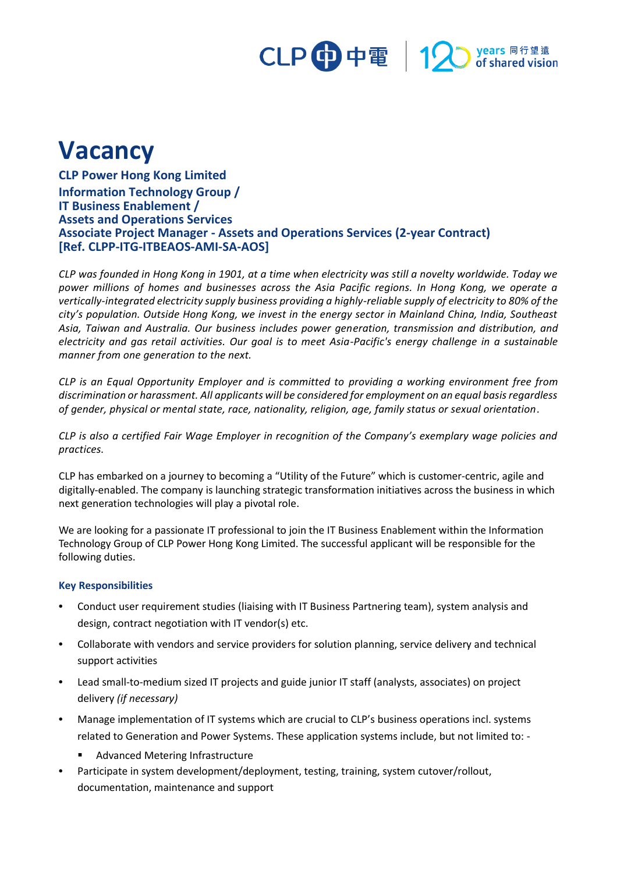## CLP 中電 | 12 years 同行望遠<br>of shared vision

## **Vacancy**

**CLP Power Hong Kong Limited Information Technology Group / IT Business Enablement / Assets and Operations Services Associate Project Manager - Assets and Operations Services (2-year Contract) [Ref. CLPP-ITG-ITBEAOS-AMI-SA-AOS]**

*CLP was founded in Hong Kong in 1901, at a time when electricity was still a novelty worldwide. Today we power millions of homes and businesses across the Asia Pacific regions. In Hong Kong, we operate a vertically-integrated electricity supply business providing a highly-reliable supply of electricity to 80% of the city's population. Outside Hong Kong, we invest in the energy sector in Mainland China, India, Southeast Asia, Taiwan and Australia. Our business includes power generation, transmission and distribution, and electricity and gas retail activities. Our goal is to meet Asia-Pacific's energy challenge in a sustainable manner from one generation to the next.*

*CLP is an Equal Opportunity Employer and is committed to providing a working environment free from discrimination or harassment. All applicants will be considered for employment on an equal basis regardless of gender, physical or mental state, race, nationality, religion, age, family status or sexual orientation.*

*CLP is also a certified Fair Wage Employer in recognition of the Company's exemplary wage policies and practices.*

CLP has embarked on a journey to becoming a "Utility of the Future" which is customer-centric, agile and digitally-enabled. The company is launching strategic transformation initiatives across the business in which next generation technologies will play a pivotal role.

We are looking for a passionate IT professional to join the IT Business Enablement within the Information Technology Group of CLP Power Hong Kong Limited. The successful applicant will be responsible for the following duties.

## **Key Responsibilities**

- **•** Conduct user requirement studies (liaising with IT Business Partnering team), system analysis and design, contract negotiation with IT vendor(s) etc.
- **•** Collaborate with vendors and service providers for solution planning, service delivery and technical support activities
- **•** Lead small-to-medium sized IT projects and guide junior IT staff (analysts, associates) on project delivery *(if necessary)*
- **•** Manage implementation of IT systems which are crucial to CLP's business operations incl. systems related to Generation and Power Systems. These application systems include, but not limited to: -
	- Advanced Metering Infrastructure
- **•** Participate in system development/deployment, testing, training, system cutover/rollout, documentation, maintenance and support